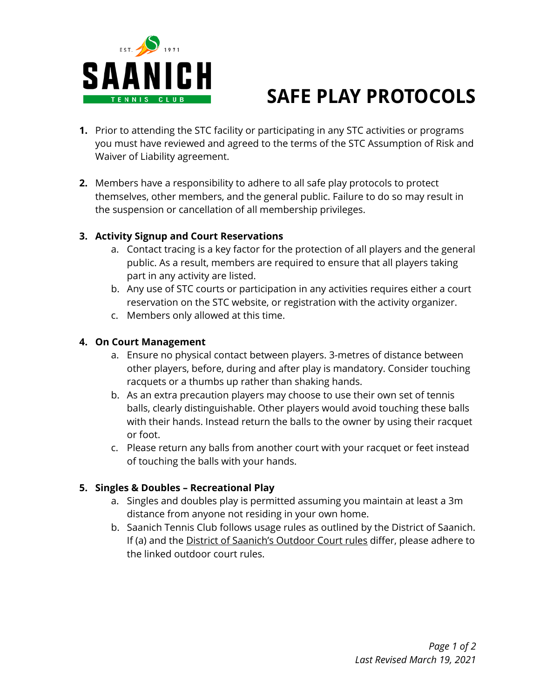

# **SAFE PLAY PROTOCOLS**

- **1.** Prior to attending the STC facility or participating in any STC activities or programs you must have reviewed and agreed to the terms of the STC Assumption of Risk and Waiver of Liability agreement.
- **2.** Members have a responsibility to adhere to all safe play protocols to protect themselves, other members, and the general public. Failure to do so may result in the suspension or cancellation of all membership privileges.

## **3. Activity Signup and Court Reservations**

- a. Contact tracing is a key factor for the protection of all players and the general public. As a result, members are required to ensure that all players taking part in any activity are listed.
- b. Any use of STC courts or participation in any activities requires either a court reservation on the STC website, or registration with the activity organizer.
- c. Members only allowed at this time.

#### **4. On Court Management**

- a. Ensure no physical contact between players. 3-metres of distance between other players, before, during and after play is mandatory. Consider touching racquets or a thumbs up rather than shaking hands.
- b. As an extra precaution players may choose to use their own set of tennis balls, clearly distinguishable. Other players would avoid touching these balls with their hands. Instead return the balls to the owner by using their racquet or foot.
- c. Please return any balls from another court with your racquet or feet instead of touching the balls with your hands.

## **5. Singles & Doubles – Recreational Play**

- a. Singles and doubles play is permitted assuming you maintain at least a 3m distance from anyone not residing in your own home.
- b. Saanich Tennis Club follows usage rules as outlined by the District of Saanich. If (a) and the District of [Saanich's](https://www.saanich.ca/EN/main/parks-recreation-community/parks/parks-trails-amenities/amenities/tennis-courts.html) Outdoor Court rules differ, please adhere to the linked outdoor court rules.